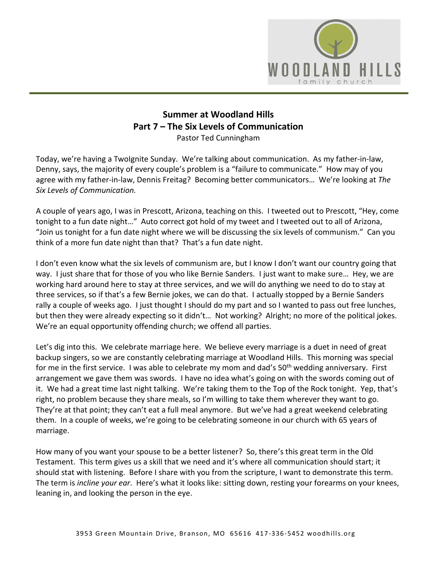

## **Summer at Woodland Hills Part 7 – The Six Levels of Communication**  Pastor Ted Cunningham

Today, we're having a TwoIgnite Sunday. We're talking about communication. As my father-in-law, Denny, says, the majority of every couple's problem is a "failure to communicate." How may of you agree with my father-in-law, Dennis Freitag? Becoming better communicators… We're looking at *The Six Levels of Communication.* 

A couple of years ago, I was in Prescott, Arizona, teaching on this. I tweeted out to Prescott, "Hey, come tonight to a fun date night…" Auto correct got hold of my tweet and I tweeted out to all of Arizona, "Join us tonight for a fun date night where we will be discussing the six levels of communism." Can you think of a more fun date night than that? That's a fun date night.

I don't even know what the six levels of communism are, but I know I don't want our country going that way. I just share that for those of you who like Bernie Sanders. I just want to make sure… Hey, we are working hard around here to stay at three services, and we will do anything we need to do to stay at three services, so if that's a few Bernie jokes, we can do that. I actually stopped by a Bernie Sanders rally a couple of weeks ago. I just thought I should do my part and so I wanted to pass out free lunches, but then they were already expecting so it didn't… Not working? Alright; no more of the political jokes. We're an equal opportunity offending church; we offend all parties.

Let's dig into this. We celebrate marriage here. We believe every marriage is a duet in need of great backup singers, so we are constantly celebrating marriage at Woodland Hills. This morning was special for me in the first service. I was able to celebrate my mom and dad's 50<sup>th</sup> wedding anniversary. First arrangement we gave them was swords. I have no idea what's going on with the swords coming out of it. We had a great time last night talking. We're taking them to the Top of the Rock tonight. Yep, that's right, no problem because they share meals, so I'm willing to take them wherever they want to go. They're at that point; they can't eat a full meal anymore. But we've had a great weekend celebrating them. In a couple of weeks, we're going to be celebrating someone in our church with 65 years of marriage.

How many of you want your spouse to be a better listener? So, there's this great term in the Old Testament. This term gives us a skill that we need and it's where all communication should start; it should stat with listening. Before I share with you from the scripture, I want to demonstrate this term. The term is *incline your ear*. Here's what it looks like: sitting down, resting your forearms on your knees, leaning in, and looking the person in the eye.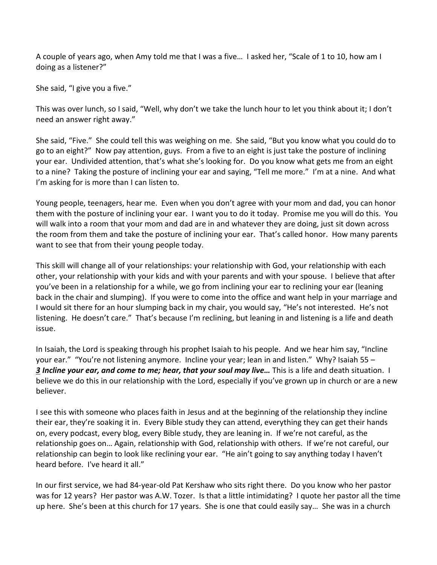A couple of years ago, when Amy told me that I was a five… I asked her, "Scale of 1 to 10, how am I doing as a listener?"

She said, "I give you a five."

This was over lunch, so I said, "Well, why don't we take the lunch hour to let you think about it; I don't need an answer right away."

She said, "Five." She could tell this was weighing on me. She said, "But you know what you could do to go to an eight?" Now pay attention, guys. From a five to an eight is just take the posture of inclining your ear. Undivided attention, that's what she's looking for. Do you know what gets me from an eight to a nine? Taking the posture of inclining your ear and saying, "Tell me more." I'm at a nine. And what I'm asking for is more than I can listen to.

Young people, teenagers, hear me. Even when you don't agree with your mom and dad, you can honor them with the posture of inclining your ear. I want you to do it today. Promise me you will do this. You will walk into a room that your mom and dad are in and whatever they are doing, just sit down across the room from them and take the posture of inclining your ear. That's called honor. How many parents want to see that from their young people today.

This skill will change all of your relationships: your relationship with God, your relationship with each other, your relationship with your kids and with your parents and with your spouse. I believe that after you've been in a relationship for a while, we go from inclining your ear to reclining your ear (leaning back in the chair and slumping). If you were to come into the office and want help in your marriage and I would sit there for an hour slumping back in my chair, you would say, "He's not interested. He's not listening. He doesn't care." That's because I'm reclining, but leaning in and listening is a life and death issue.

In Isaiah, the Lord is speaking through his prophet Isaiah to his people. And we hear him say, "Incline your ear." "You're not listening anymore. Incline your year; lean in and listen." Why? Isaiah 55 – *[3](https://www.studylight.org/desk/?q=isa%2055:3&t1=en_esv&sr=1) Incline your ear, and come to me; hear, that your soul may live…* This is a life and death situation. I believe we do this in our relationship with the Lord, especially if you've grown up in church or are a new believer.

I see this with someone who places faith in Jesus and at the beginning of the relationship they incline their ear, they're soaking it in. Every Bible study they can attend, everything they can get their hands on, every podcast, every blog, every Bible study, they are leaning in. If we're not careful, as the relationship goes on… Again, relationship with God, relationship with others. If we're not careful, our relationship can begin to look like reclining your ear. "He ain't going to say anything today I haven't heard before. I've heard it all."

In our first service, we had 84-year-old Pat Kershaw who sits right there. Do you know who her pastor was for 12 years? Her pastor was A.W. Tozer. Is that a little intimidating? I quote her pastor all the time up here. She's been at this church for 17 years. She is one that could easily say… She was in a church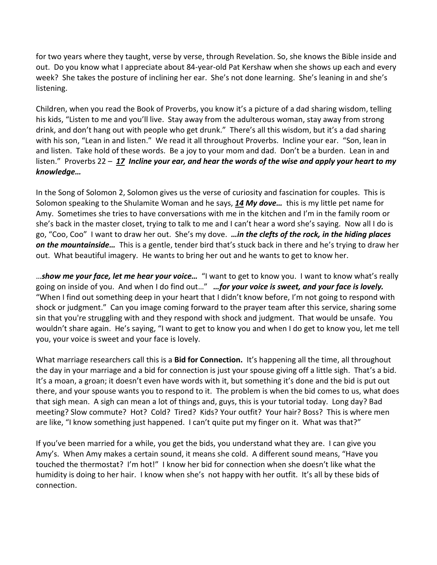for two years where they taught, verse by verse, through Revelation. So, she knows the Bible inside and out. Do you know what I appreciate about 84-year-old Pat Kershaw when she shows up each and every week? She takes the posture of inclining her ear. She's not done learning. She's leaning in and she's listening.

Children, when you read the Book of Proverbs, you know it's a picture of a dad sharing wisdom, telling his kids, "Listen to me and you'll live. Stay away from the adulterous woman, stay away from strong drink, and don't hang out with people who get drunk." There's all this wisdom, but it's a dad sharing with his son, "Lean in and listen." We read it all throughout Proverbs. Incline your ear. "Son, lean in and listen. Take hold of these words. Be a joy to your mom and dad. Don't be a burden. Lean in and listen." Proverbs 22 – *[17](https://www.studylight.org/desk/?q=pr%2022:17&t1=en_esv&sr=1) Incline your ear, and hear the words of the wise and apply your heart to my knowledge…*

In the Song of Solomon 2, Solomon gives us the verse of curiosity and fascination for couples. This is Solomon speaking to the Shulamite Woman and he says, *[14](https://www.studylight.org/desk/?q=so%202:14&t1=en_niv&sr=1) My dove…* this is my little pet name for Amy. Sometimes she tries to have conversations with me in the kitchen and I'm in the family room or she's back in the master closet, trying to talk to me and I can't hear a word she's saying. Now all I do is go, "Coo, Coo" I want to draw her out. She's my dove. *…in the clefts of the rock, in the hiding places on the mountainside…* This is a gentle, tender bird that's stuck back in there and he's trying to draw her out. What beautiful imagery. He wants to bring her out and he wants to get to know her.

…*show me your face, let me hear your voice…* "I want to get to know you. I want to know what's really going on inside of you. And when I do find out…" *…for your voice is sweet, and your face is lovely.* "When I find out something deep in your heart that I didn't know before, I'm not going to respond with shock or judgment." Can you image coming forward to the prayer team after this service, sharing some sin that you're struggling with and they respond with shock and judgment. That would be unsafe. You wouldn't share again. He's saying, "I want to get to know you and when I do get to know you, let me tell you, your voice is sweet and your face is lovely.

What marriage researchers call this is a **Bid for Connection.** It's happening all the time, all throughout the day in your marriage and a bid for connection is just your spouse giving off a little sigh. That's a bid. It's a moan, a groan; it doesn't even have words with it, but something it's done and the bid is put out there, and your spouse wants you to respond to it. The problem is when the bid comes to us, what does that sigh mean. A sigh can mean a lot of things and, guys, this is your tutorial today. Long day? Bad meeting? Slow commute? Hot? Cold? Tired? Kids? Your outfit? Your hair? Boss? This is where men are like, "I know something just happened. I can't quite put my finger on it. What was that?"

If you've been married for a while, you get the bids, you understand what they are. I can give you Amy's. When Amy makes a certain sound, it means she cold. A different sound means, "Have you touched the thermostat? I'm hot!" I know her bid for connection when she doesn't like what the humidity is doing to her hair. I know when she's not happy with her outfit. It's all by these bids of connection.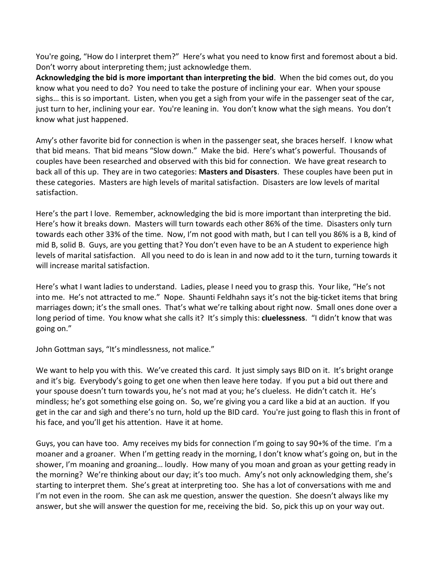You're going, "How do I interpret them?" Here's what you need to know first and foremost about a bid. Don't worry about interpreting them; just acknowledge them.

**Acknowledging the bid is more important than interpreting the bid**. When the bid comes out, do you know what you need to do? You need to take the posture of inclining your ear. When your spouse sighs… this is so important. Listen, when you get a sigh from your wife in the passenger seat of the car, just turn to her, inclining your ear. You're leaning in. You don't know what the sigh means. You don't know what just happened.

Amy's other favorite bid for connection is when in the passenger seat, she braces herself. I know what that bid means. That bid means "Slow down." Make the bid. Here's what's powerful. Thousands of couples have been researched and observed with this bid for connection. We have great research to back all of this up. They are in two categories: **Masters and Disasters**. These couples have been put in these categories. Masters are high levels of marital satisfaction. Disasters are low levels of marital satisfaction.

Here's the part I love. Remember, acknowledging the bid is more important than interpreting the bid. Here's how it breaks down. Masters will turn towards each other 86% of the time. Disasters only turn towards each other 33% of the time. Now, I'm not good with math, but I can tell you 86% is a B, kind of mid B, solid B. Guys, are you getting that? You don't even have to be an A student to experience high levels of marital satisfaction. All you need to do is lean in and now add to it the turn, turning towards it will increase marital satisfaction.

Here's what I want ladies to understand. Ladies, please I need you to grasp this. Your like, "He's not into me. He's not attracted to me." Nope. Shaunti Feldhahn says it's not the big-ticket items that bring marriages down; it's the small ones. That's what we're talking about right now. Small ones done over a long period of time. You know what she calls it? It's simply this: **cluelessness**. "I didn't know that was going on."

John Gottman says, "It's mindlessness, not malice."

We want to help you with this. We've created this card. It just simply says BID on it. It's bright orange and it's big. Everybody's going to get one when then leave here today. If you put a bid out there and your spouse doesn't turn towards you, he's not mad at you; he's clueless. He didn't catch it. He's mindless; he's got something else going on. So, we're giving you a card like a bid at an auction. If you get in the car and sigh and there's no turn, hold up the BID card. You're just going to flash this in front of his face, and you'll get his attention. Have it at home.

Guys, you can have too. Amy receives my bids for connection I'm going to say 90+% of the time. I'm a moaner and a groaner. When I'm getting ready in the morning, I don't know what's going on, but in the shower, I'm moaning and groaning… loudly. How many of you moan and groan as your getting ready in the morning? We're thinking about our day; it's too much. Amy's not only acknowledging them, she's starting to interpret them. She's great at interpreting too. She has a lot of conversations with me and I'm not even in the room. She can ask me question, answer the question. She doesn't always like my answer, but she will answer the question for me, receiving the bid. So, pick this up on your way out.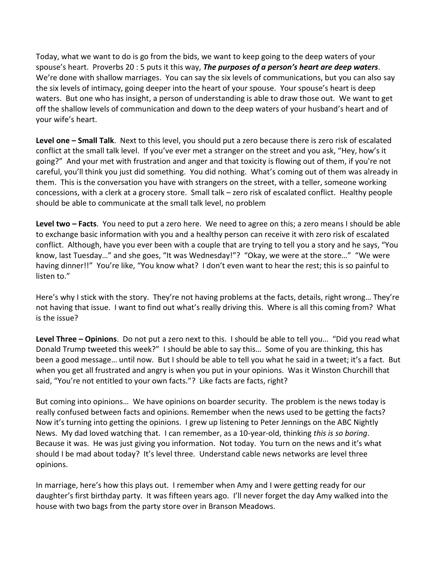Today, what we want to do is go from the bids, we want to keep going to the deep waters of your spouse's heart. Proverbs 20 : 5 puts it this way, *The purposes of a person's heart are deep waters*. We're done with shallow marriages. You can say the six levels of communications, but you can also say the six levels of intimacy, going deeper into the heart of your spouse. Your spouse's heart is deep waters. But one who has insight, a person of understanding is able to draw those out. We want to get off the shallow levels of communication and down to the deep waters of your husband's heart and of your wife's heart.

**Level one – Small Talk**. Next to this level, you should put a zero because there is zero risk of escalated conflict at the small talk level. If you've ever met a stranger on the street and you ask, "Hey, how's it going?" And your met with frustration and anger and that toxicity is flowing out of them, if you're not careful, you'll think you just did something. You did nothing. What's coming out of them was already in them. This is the conversation you have with strangers on the street, with a teller, someone working concessions, with a clerk at a grocery store. Small talk – zero risk of escalated conflict. Healthy people should be able to communicate at the small talk level, no problem

**Level two – Facts**. You need to put a zero here. We need to agree on this; a zero means I should be able to exchange basic information with you and a healthy person can receive it with zero risk of escalated conflict. Although, have you ever been with a couple that are trying to tell you a story and he says, "You know, last Tuesday…" and she goes, "It was Wednesday!"? "Okay, we were at the store…" "We were having dinner!!" You're like, "You know what? I don't even want to hear the rest; this is so painful to listen to."

Here's why I stick with the story. They're not having problems at the facts, details, right wrong… They're not having that issue. I want to find out what's really driving this. Where is all this coming from? What is the issue?

**Level Three – Opinions**. Do not put a zero next to this. I should be able to tell you… "Did you read what Donald Trump tweeted this week?" I should be able to say this… Some of you are thinking, this has been a good message… until now. But I should be able to tell you what he said in a tweet; it's a fact. But when you get all frustrated and angry is when you put in your opinions. Was it Winston Churchill that said, "You're not entitled to your own facts."? Like facts are facts, right?

But coming into opinions… We have opinions on boarder security. The problem is the news today is really confused between facts and opinions. Remember when the news used to be getting the facts? Now it's turning into getting the opinions. I grew up listening to Peter Jennings on the ABC Nightly News. My dad loved watching that. I can remember, as a 10-year-old, thinking *this is so boring*. Because it was. He was just giving you information. Not today. You turn on the news and it's what should I be mad about today? It's level three. Understand cable news networks are level three opinions.

In marriage, here's how this plays out. I remember when Amy and I were getting ready for our daughter's first birthday party. It was fifteen years ago. I'll never forget the day Amy walked into the house with two bags from the party store over in Branson Meadows.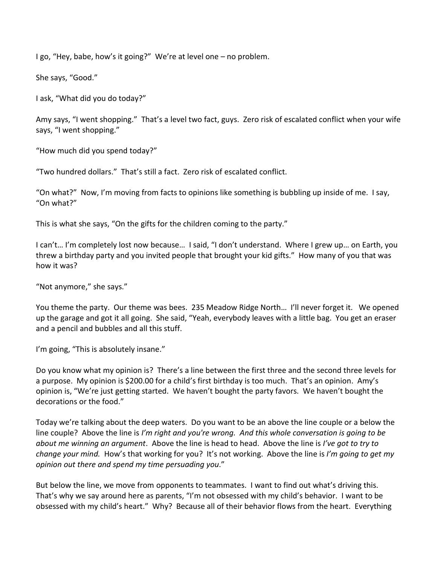I go, "Hey, babe, how's it going?" We're at level one – no problem.

She says, "Good."

I ask, "What did you do today?"

Amy says, "I went shopping." That's a level two fact, guys. Zero risk of escalated conflict when your wife says, "I went shopping."

"How much did you spend today?"

"Two hundred dollars." That's still a fact. Zero risk of escalated conflict.

"On what?" Now, I'm moving from facts to opinions like something is bubbling up inside of me. I say, "On what?"

This is what she says, "On the gifts for the children coming to the party."

I can't… I'm completely lost now because… I said, "I don't understand. Where I grew up… on Earth, you threw a birthday party and you invited people that brought your kid gifts." How many of you that was how it was?

"Not anymore," she says."

You theme the party. Our theme was bees. 235 Meadow Ridge North… I'll never forget it. We opened up the garage and got it all going. She said, "Yeah, everybody leaves with a little bag. You get an eraser and a pencil and bubbles and all this stuff.

I'm going, "This is absolutely insane."

Do you know what my opinion is? There's a line between the first three and the second three levels for a purpose. My opinion is \$200.00 for a child's first birthday is too much. That's an opinion. Amy's opinion is, "We're just getting started. We haven't bought the party favors. We haven't bought the decorations or the food."

Today we're talking about the deep waters. Do you want to be an above the line couple or a below the line couple? Above the line is *I'm right and you're wrong. And this whole conversation is going to be about me winning an argument*. Above the line is head to head. Above the line is *I've got to try to change your mind.* How's that working for you? It's not working. Above the line is *I'm going to get my opinion out there and spend my time persuading you*."

But below the line, we move from opponents to teammates. I want to find out what's driving this. That's why we say around here as parents, "I'm not obsessed with my child's behavior. I want to be obsessed with my child's heart." Why? Because all of their behavior flows from the heart. Everything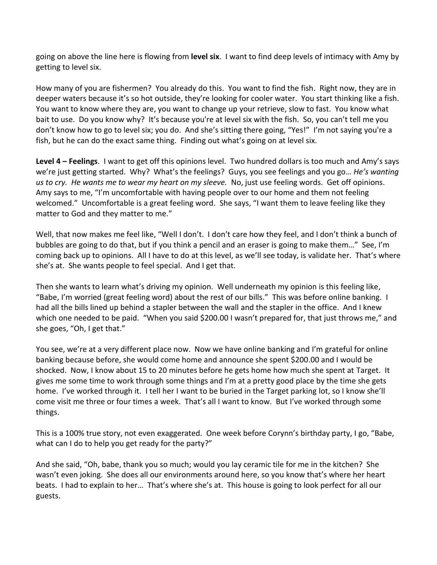going on above the line here is flowing from **level six**. I want to find deep levels of intimacy with Amy by getting to level six.

How many of you are fishermen? You already do this. You want to find the fish. Right now, they are in deeper waters because it's so hot outside, they're looking for cooler water. You start thinking like a fish. You want to know where they are, you want to change up your retrieve, slow to fast. You know what bait to use. Do you know why? It's because you're at level six with the fish. So, you can't tell me you don't know how to go to level six; you do. And she's sitting there going, "Yes!" I'm not saying you're a fish, but he can do the exact same thing. Finding out what's going on at level six.

**Level 4 – Feelings**. I want to get off this opinions level. Two hundred dollars is too much and Amy's says we're just getting started. Why? What's the feelings? Guys, you see feelings and you go… *He's wanting us to cry. He wants me to wear my heart on my sleeve.* No, just use feeling words. Get off opinions. Amy says to me, "I'm uncomfortable with having people over to our home and them not feeling welcomed." Uncomfortable is a great feeling word. She says, "I want them to leave feeling like they matter to God and they matter to me."

Well, that now makes me feel like, "Well I don't. I don't care how they feel, and I don't think a bunch of bubbles are going to do that, but if you think a pencil and an eraser is going to make them…" See, I'm coming back up to opinions. All I have to do at this level, as we'll see today, is validate her. That's where she's at. She wants people to feel special. And I get that.

Then she wants to learn what's driving my opinion. Well underneath my opinion is this feeling like, "Babe, I'm worried (great feeling word) about the rest of our bills." This was before online banking. I had all the bills lined up behind a stapler between the wall and the stapler in the office. And I knew which one needed to be paid. "When you said \$200.00 I wasn't prepared for, that just throws me," and she goes, "Oh, I get that."

You see, we're at a very different place now. Now we have online banking and I'm grateful for online banking because before, she would come home and announce she spent \$200.00 and I would be shocked. Now, I know about 15 to 20 minutes before he gets home how much she spent at Target. It gives me some time to work through some things and I'm at a pretty good place by the time she gets home. I've worked through it. I tell her I want to be buried in the Target parking lot, so I know she'll come visit me three or four times a week. That's all I want to know. But I've worked through some things.

This is a 100% true story, not even exaggerated. One week before Corynn's birthday party, I go, "Babe, what can I do to help you get ready for the party?"

And she said, "Oh, babe, thank you so much; would you lay ceramic tile for me in the kitchen? She wasn't even joking. She does all our environments around here, so you know that's where her heart beats. I had to explain to her… That's where she's at. This house is going to look perfect for all our guests.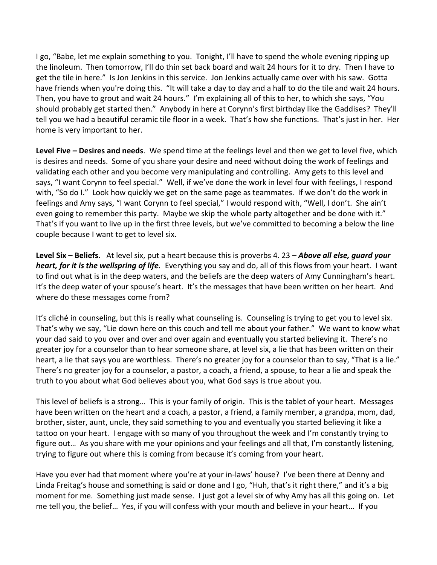I go, "Babe, let me explain something to you. Tonight, I'll have to spend the whole evening ripping up the linoleum. Then tomorrow, I'll do thin set back board and wait 24 hours for it to dry. Then I have to get the tile in here." Is Jon Jenkins in this service. Jon Jenkins actually came over with his saw. Gotta have friends when you're doing this. "It will take a day to day and a half to do the tile and wait 24 hours. Then, you have to grout and wait 24 hours." I'm explaining all of this to her, to which she says, "You should probably get started then." Anybody in here at Corynn's first birthday like the Gaddises? They'll tell you we had a beautiful ceramic tile floor in a week. That's how she functions. That's just in her. Her home is very important to her.

**Level Five – Desires and needs**. We spend time at the feelings level and then we get to level five, which is desires and needs. Some of you share your desire and need without doing the work of feelings and validating each other and you become very manipulating and controlling. Amy gets to this level and says, "I want Corynn to feel special." Well, if we've done the work in level four with feelings, I respond with, "So do I." Look how quickly we get on the same page as teammates. If we don't do the work in feelings and Amy says, "I want Corynn to feel special," I would respond with, "Well, I don't. She ain't even going to remember this party. Maybe we skip the whole party altogether and be done with it." That's if you want to live up in the first three levels, but we've committed to becoming a below the line couple because I want to get to level six.

**Level Six – Beliefs**. At level six, put a heart because this is proverbs 4. 23 – *Above all else, guard your heart, for it is the wellspring of life.* Everything you say and do, all of this flows from your heart. I want to find out what is in the deep waters, and the beliefs are the deep waters of Amy Cunningham's heart. It's the deep water of your spouse's heart. It's the messages that have been written on her heart. And where do these messages come from?

It's cliché in counseling, but this is really what counseling is. Counseling is trying to get you to level six. That's why we say, "Lie down here on this couch and tell me about your father." We want to know what your dad said to you over and over and over again and eventually you started believing it. There's no greater joy for a counselor than to hear someone share, at level six, a lie that has been written on their heart, a lie that says you are worthless. There's no greater joy for a counselor than to say, "That is a lie." There's no greater joy for a counselor, a pastor, a coach, a friend, a spouse, to hear a lie and speak the truth to you about what God believes about you, what God says is true about you.

This level of beliefs is a strong… This is your family of origin. This is the tablet of your heart. Messages have been written on the heart and a coach, a pastor, a friend, a family member, a grandpa, mom, dad, brother, sister, aunt, uncle, they said something to you and eventually you started believing it like a tattoo on your heart. I engage with so many of you throughout the week and I'm constantly trying to figure out… As you share with me your opinions and your feelings and all that, I'm constantly listening, trying to figure out where this is coming from because it's coming from your heart.

Have you ever had that moment where you're at your in-laws' house? I've been there at Denny and Linda Freitag's house and something is said or done and I go, "Huh, that's it right there," and it's a big moment for me. Something just made sense. I just got a level six of why Amy has all this going on. Let me tell you, the belief… Yes, if you will confess with your mouth and believe in your heart… If you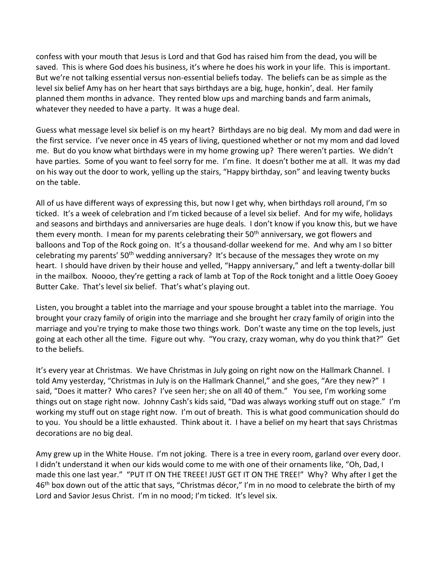confess with your mouth that Jesus is Lord and that God has raised him from the dead, you will be saved. This is where God does his business, it's where he does his work in your life. This is important. But we're not talking essential versus non-essential beliefs today. The beliefs can be as simple as the level six belief Amy has on her heart that says birthdays are a big, huge, honkin', deal. Her family planned them months in advance. They rented blow ups and marching bands and farm animals, whatever they needed to have a party. It was a huge deal.

Guess what message level six belief is on my heart? Birthdays are no big deal. My mom and dad were in the first service. I've never once in 45 years of living, questioned whether or not my mom and dad loved me. But do you know what birthdays were in my home growing up? There weren't parties. We didn't have parties. Some of you want to feel sorry for me. I'm fine. It doesn't bother me at all. It was my dad on his way out the door to work, yelling up the stairs, "Happy birthday, son" and leaving twenty bucks on the table.

All of us have different ways of expressing this, but now I get why, when birthdays roll around, I'm so ticked. It's a week of celebration and I'm ticked because of a level six belief. And for my wife, holidays and seasons and birthdays and anniversaries are huge deals. I don't know if you know this, but we have them every month. I mean for my parents celebrating their  $50<sup>th</sup>$  anniversary, we got flowers and balloons and Top of the Rock going on. It's a thousand-dollar weekend for me. And why am I so bitter celebrating my parents' 50<sup>th</sup> wedding anniversary? It's because of the messages they wrote on my heart. I should have driven by their house and yelled, "Happy anniversary," and left a twenty-dollar bill in the mailbox. Noooo, they're getting a rack of lamb at Top of the Rock tonight and a little Ooey Gooey Butter Cake. That's level six belief. That's what's playing out.

Listen, you brought a tablet into the marriage and your spouse brought a tablet into the marriage. You brought your crazy family of origin into the marriage and she brought her crazy family of origin into the marriage and you're trying to make those two things work. Don't waste any time on the top levels, just going at each other all the time. Figure out why. "You crazy, crazy woman, why do you think that?" Get to the beliefs.

It's every year at Christmas. We have Christmas in July going on right now on the Hallmark Channel. I told Amy yesterday, "Christmas in July is on the Hallmark Channel," and she goes, "Are they new?" I said, "Does it matter? Who cares? I've seen her; she on all 40 of them." You see, I'm working some things out on stage right now. Johnny Cash's kids said, "Dad was always working stuff out on stage." I'm working my stuff out on stage right now. I'm out of breath. This is what good communication should do to you. You should be a little exhausted. Think about it. I have a belief on my heart that says Christmas decorations are no big deal.

Amy grew up in the White House. I'm not joking. There is a tree in every room, garland over every door. I didn't understand it when our kids would come to me with one of their ornaments like, "Oh, Dad, I made this one last year." "PUT IT ON THE TREEE! JUST GET IT ON THE TREE!" Why? Why after I get the 46<sup>th</sup> box down out of the attic that says, "Christmas décor," I'm in no mood to celebrate the birth of my Lord and Savior Jesus Christ. I'm in no mood; I'm ticked. It's level six.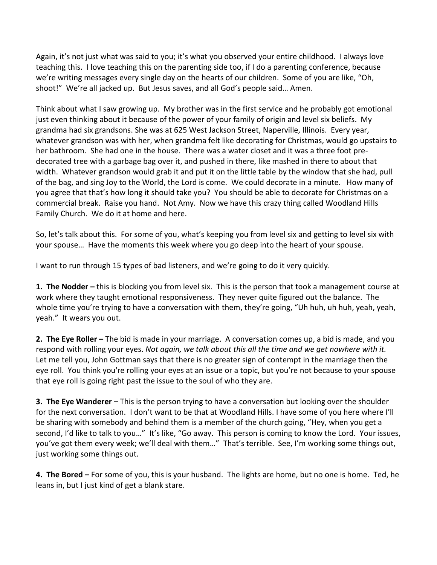Again, it's not just what was said to you; it's what you observed your entire childhood. I always love teaching this. I love teaching this on the parenting side too, if I do a parenting conference, because we're writing messages every single day on the hearts of our children. Some of you are like, "Oh, shoot!" We're all jacked up. But Jesus saves, and all God's people said… Amen.

Think about what I saw growing up. My brother was in the first service and he probably got emotional just even thinking about it because of the power of your family of origin and level six beliefs. My grandma had six grandsons. She was at 625 West Jackson Street, Naperville, Illinois. Every year, whatever grandson was with her, when grandma felt like decorating for Christmas, would go upstairs to her bathroom. She had one in the house. There was a water closet and it was a three foot predecorated tree with a garbage bag over it, and pushed in there, like mashed in there to about that width. Whatever grandson would grab it and put it on the little table by the window that she had, pull of the bag, and sing Joy to the World, the Lord is come. We could decorate in a minute. How many of you agree that that's how long it should take you? You should be able to decorate for Christmas on a commercial break. Raise you hand. Not Amy. Now we have this crazy thing called Woodland Hills Family Church. We do it at home and here.

So, let's talk about this. For some of you, what's keeping you from level six and getting to level six with your spouse… Have the moments this week where you go deep into the heart of your spouse.

I want to run through 15 types of bad listeners, and we're going to do it very quickly.

**1. The Nodder –** this is blocking you from level six. This is the person that took a management course at work where they taught emotional responsiveness. They never quite figured out the balance. The whole time you're trying to have a conversation with them, they're going, "Uh huh, uh huh, yeah, yeah, yeah." It wears you out.

**2. The Eye Roller –** The bid is made in your marriage. A conversation comes up, a bid is made, and you respond with rolling your eyes. *Not again, we talk about this all the time and we get nowhere with it.* Let me tell you, John Gottman says that there is no greater sign of contempt in the marriage then the eye roll. You think you're rolling your eyes at an issue or a topic, but you're not because to your spouse that eye roll is going right past the issue to the soul of who they are.

**3. The Eye Wanderer –** This is the person trying to have a conversation but looking over the shoulder for the next conversation. I don't want to be that at Woodland Hills. I have some of you here where I'll be sharing with somebody and behind them is a member of the church going, "Hey, when you get a second, I'd like to talk to you…" It's like, "Go away. This person is coming to know the Lord. Your issues, you've got them every week; we'll deal with them…" That's terrible. See, I'm working some things out, just working some things out.

**4. The Bored –** For some of you, this is your husband. The lights are home, but no one is home. Ted, he leans in, but I just kind of get a blank stare.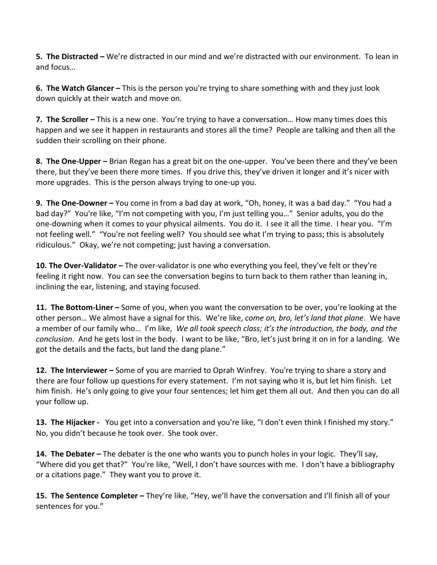**5. The Distracted –** We're distracted in our mind and we're distracted with our environment. To lean in and focus…

**6. The Watch Glancer –** This is the person you're trying to share something with and they just look down quickly at their watch and move on.

**7. The Scroller –** This is a new one. You're trying to have a conversation… How many times does this happen and we see it happen in restaurants and stores all the time? People are talking and then all the sudden their scrolling on their phone.

**8. The One-Upper –** Brian Regan has a great bit on the one-upper. You've been there and they've been there, but they've been there more times. If you drive this, they've driven it longer and it's nicer with more upgrades. This is the person always trying to one-up you.

**9. The One-Downer –** You come in from a bad day at work, "Oh, honey, it was a bad day." "You had a bad day?" You're like, "I'm not competing with you, I'm just telling you…" Senior adults, you do the one-downing when it comes to your physical ailments. You do it. I see it all the time. I hear you. "I'm not feeling well." "You're not feeling well? You should see what I'm trying to pass; this is absolutely ridiculous." Okay, we're not competing; just having a conversation.

**10. The Over-Validator –** The over-validator is one who everything you feel, they've felt or they're feeling it right now. You can see the conversation begins to turn back to them rather than leaning in, inclining the ear, listening, and staying focused.

**11. The Bottom-Liner –** Some of you, when you want the conversation to be over, you're looking at the other person… We almost have a signal for this. We're like, *come on, bro, let's land that plane*. We have a member of our family who… I'm like, *We all took speech class; it's the introduction, the body, and the conclusion.* And he gets lost in the body. I want to be like, "Bro, let's just bring it on in for a landing. We got the details and the facts, but land the dang plane."

**12. The Interviewer –** Some of you are married to Oprah Winfrey. You're trying to share a story and there are four follow up questions for every statement. I'm not saying who it is, but let him finish. Let him finish. He's only going to give your four sentences; let him get them all out. And then you can do all your follow up.

**13. The Hijacker -** You get into a conversation and you're like, "I don't even think I finished my story." No, you didn't because he took over. She took over.

**14. The Debater –** The debater is the one who wants you to punch holes in your logic. They'll say, "Where did you get that?" You're like, "Well, I don't have sources with me. I don't have a bibliography or a citations page." They want you to prove it.

**15. The Sentence Completer –** They're like, "Hey, we'll have the conversation and I'll finish all of your sentences for you."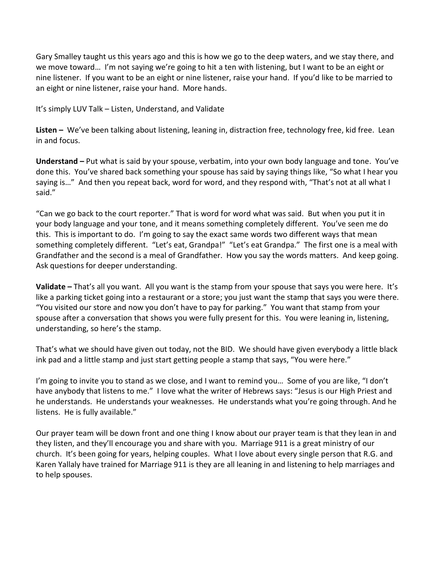Gary Smalley taught us this years ago and this is how we go to the deep waters, and we stay there, and we move toward… I'm not saying we're going to hit a ten with listening, but I want to be an eight or nine listener. If you want to be an eight or nine listener, raise your hand. If you'd like to be married to an eight or nine listener, raise your hand. More hands.

It's simply LUV Talk – Listen, Understand, and Validate

**Listen –** We've been talking about listening, leaning in, distraction free, technology free, kid free. Lean in and focus.

**Understand –** Put what is said by your spouse, verbatim, into your own body language and tone. You've done this. You've shared back something your spouse has said by saying things like, "So what I hear you saying is…" And then you repeat back, word for word, and they respond with, "That's not at all what I said."

"Can we go back to the court reporter." That is word for word what was said. But when you put it in your body language and your tone, and it means something completely different. You've seen me do this. This is important to do. I'm going to say the exact same words two different ways that mean something completely different. "Let's eat, Grandpa!" "Let's eat Grandpa." The first one is a meal with Grandfather and the second is a meal of Grandfather. How you say the words matters. And keep going. Ask questions for deeper understanding.

**Validate –** That's all you want. All you want is the stamp from your spouse that says you were here. It's like a parking ticket going into a restaurant or a store; you just want the stamp that says you were there. "You visited our store and now you don't have to pay for parking." You want that stamp from your spouse after a conversation that shows you were fully present for this. You were leaning in, listening, understanding, so here's the stamp.

That's what we should have given out today, not the BID. We should have given everybody a little black ink pad and a little stamp and just start getting people a stamp that says, "You were here."

I'm going to invite you to stand as we close, and I want to remind you... Some of you are like, "I don't have anybody that listens to me." I love what the writer of Hebrews says: "Jesus is our High Priest and he understands. He understands your weaknesses. He understands what you're going through. And he listens. He is fully available."

Our prayer team will be down front and one thing I know about our prayer team is that they lean in and they listen, and they'll encourage you and share with you. Marriage 911 is a great ministry of our church. It's been going for years, helping couples. What I love about every single person that R.G. and Karen Yallaly have trained for Marriage 911 is they are all leaning in and listening to help marriages and to help spouses.